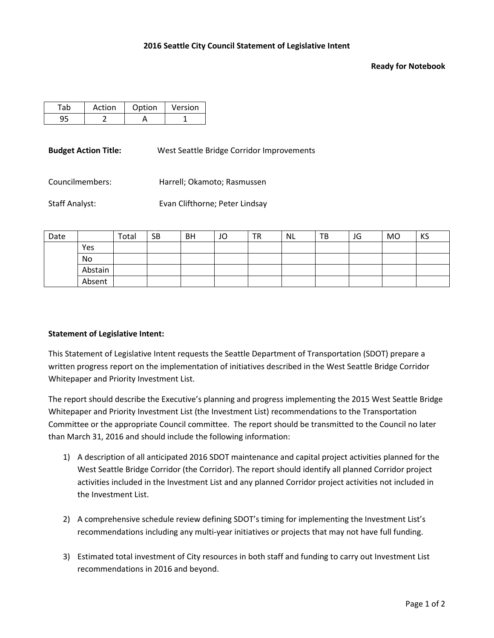## **Ready for Notebook**

| Action | Option | Version |
|--------|--------|---------|
|        |        |         |

**Budget Action Title:** West Seattle Bridge Corridor Improvements

Councilmembers: Harrell; Okamoto; Rasmussen

Staff Analyst: Evan Clifthorne; Peter Lindsay

| Date |         | Total | <b>SB</b> | <b>BH</b> | JO | <b>TR</b> | <b>NL</b> | TB | JG | <b>MO</b> | KS |
|------|---------|-------|-----------|-----------|----|-----------|-----------|----|----|-----------|----|
|      | Yes     |       |           |           |    |           |           |    |    |           |    |
|      | No      |       |           |           |    |           |           |    |    |           |    |
|      | Abstain |       |           |           |    |           |           |    |    |           |    |
|      | Absent  |       |           |           |    |           |           |    |    |           |    |

## **Statement of Legislative Intent:**

This Statement of Legislative Intent requests the Seattle Department of Transportation (SDOT) prepare a written progress report on the implementation of initiatives described in the West Seattle Bridge Corridor Whitepaper and Priority Investment List.

The report should describe the Executive's planning and progress implementing the 2015 West Seattle Bridge Whitepaper and Priority Investment List (the Investment List) recommendations to the Transportation Committee or the appropriate Council committee. The report should be transmitted to the Council no later than March 31, 2016 and should include the following information:

- 1) A description of all anticipated 2016 SDOT maintenance and capital project activities planned for the West Seattle Bridge Corridor (the Corridor). The report should identify all planned Corridor project activities included in the Investment List and any planned Corridor project activities not included in the Investment List.
- 2) A comprehensive schedule review defining SDOT's timing for implementing the Investment List's recommendations including any multi-year initiatives or projects that may not have full funding.
- 3) Estimated total investment of City resources in both staff and funding to carry out Investment List recommendations in 2016 and beyond.